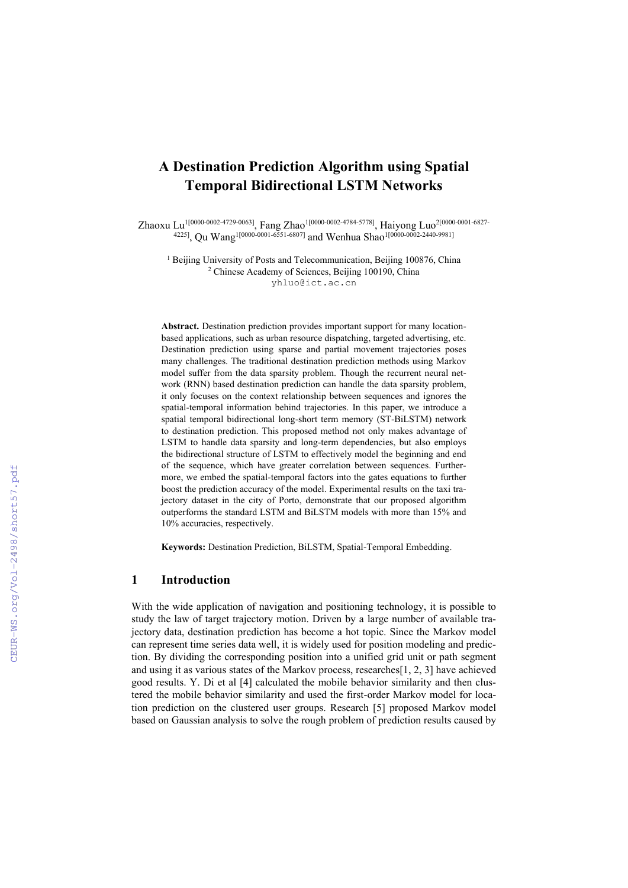# **A Destination Prediction Algorithm using Spatial Temporal Bidirectional LSTM Networks**

Zhaoxu Lu1[0000-0002-4729-0063] , Fang Zhao1[0000-0002-4784-5778], Haiyong Luo2[0000-0001-6827- 4225] , Qu Wang1[0000-0001-6551-6807] and Wenhua Shao1[0000-0002-2440-9981]

<sup>1</sup> Beijing University of Posts and Telecommunication, Beijing 100876, China <sup>2</sup> Chinese Academy of Sciences, Beijing 100190, China yhluo@ict.ac.cn

**Abstract.** Destination prediction provides important support for many locationbased applications, such as urban resource dispatching, targeted advertising, etc. Destination prediction using sparse and partial movement trajectories poses many challenges. The traditional destination prediction methods using Markov model suffer from the data sparsity problem. Though the recurrent neural network (RNN) based destination prediction can handle the data sparsity problem, it only focuses on the context relationship between sequences and ignores the spatial-temporal information behind trajectories. In this paper, we introduce a spatial temporal bidirectional long-short term memory (ST-BiLSTM) network to destination prediction. This proposed method not only makes advantage of LSTM to handle data sparsity and long-term dependencies, but also employs the bidirectional structure of LSTM to effectively model the beginning and end of the sequence, which have greater correlation between sequences. Furthermore, we embed the spatial-temporal factors into the gates equations to further boost the prediction accuracy of the model. Experimental results on the taxi trajectory dataset in the city of Porto, demonstrate that our proposed algorithm outperforms the standard LSTM and BiLSTM models with more than 15% and 10% accuracies, respectively.

**Keywords:** Destination Prediction, BiLSTM, Spatial-Temporal Embedding.

# **1 Introduction**

With the wide application of navigation and positioning technology, it is possible to study the law of target trajectory motion. Driven by a large number of available trajectory data, destination prediction has become a hot topic. Since the Markov model can represent time series data well, it is widely used for position modeling and prediction. By dividing the corresponding position into a unified grid unit or path segment and using it as various states of the Markov process, researches[1, 2, 3] have achieved good results. Y. Di et al [4] calculated the mobile behavior similarity and then clustered the mobile behavior similarity and used the first-order Markov model for location prediction on the clustered user groups. Research [5] proposed Markov model based on Gaussian analysis to solve the rough problem of prediction results caused by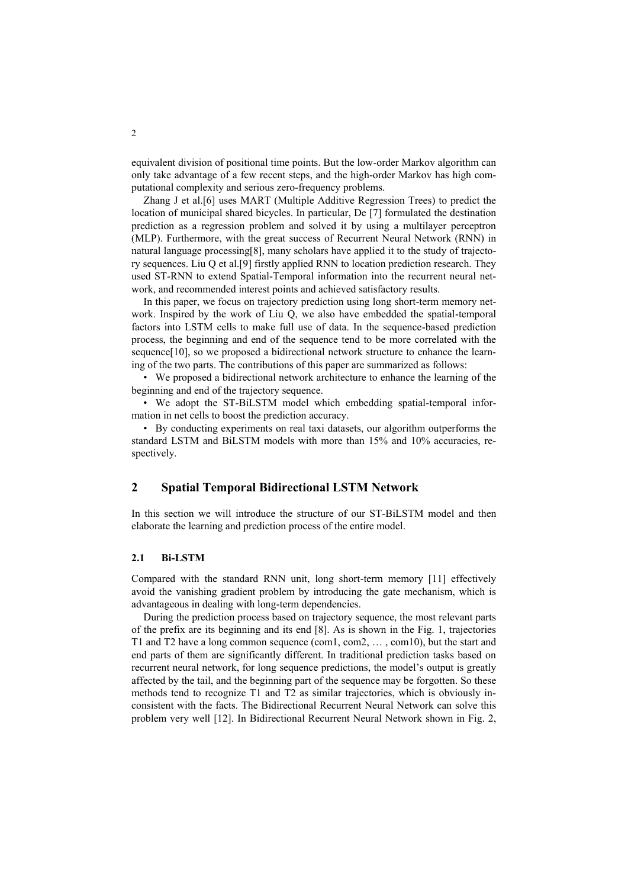equivalent division of positional time points. But the low-order Markov algorithm can only take advantage of a few recent steps, and the high-order Markov has high computational complexity and serious zero-frequency problems.

Zhang J et al.[6] uses MART (Multiple Additive Regression Trees) to predict the location of municipal shared bicycles. In particular, De [7] formulated the destination prediction as a regression problem and solved it by using a multilayer perceptron (MLP). Furthermore, with the great success of Recurrent Neural Network (RNN) in natural language processing[8], many scholars have applied it to the study of trajectory sequences. Liu Q et al.[9] firstly applied RNN to location prediction research. They used ST-RNN to extend Spatial-Temporal information into the recurrent neural network, and recommended interest points and achieved satisfactory results.

In this paper, we focus on trajectory prediction using long short-term memory network. Inspired by the work of Liu Q, we also have embedded the spatial-temporal factors into LSTM cells to make full use of data. In the sequence-based prediction process, the beginning and end of the sequence tend to be more correlated with the sequence[10], so we proposed a bidirectional network structure to enhance the learning of the two parts. The contributions of this paper are summarized as follows:

• We proposed a bidirectional network architecture to enhance the learning of the beginning and end of the trajectory sequence.

• We adopt the ST-BiLSTM model which embedding spatial-temporal information in net cells to boost the prediction accuracy.

• By conducting experiments on real taxi datasets, our algorithm outperforms the standard LSTM and BiLSTM models with more than 15% and 10% accuracies, respectively.

# **2 Spatial Temporal Bidirectional LSTM Network**

In this section we will introduce the structure of our ST-BiLSTM model and then elaborate the learning and prediction process of the entire model.

#### **2.1 Bi-LSTM**

Compared with the standard RNN unit, long short-term memory [11] effectively avoid the vanishing gradient problem by introducing the gate mechanism, which is advantageous in dealing with long-term dependencies.

During the prediction process based on trajectory sequence, the most relevant parts of the prefix are its beginning and its end [8]. As is shown in the Fig. 1, trajectories T1 and T2 have a long common sequence (com1, com2, … , com10), but the start and end parts of them are significantly different. In traditional prediction tasks based on recurrent neural network, for long sequence predictions, the model's output is greatly affected by the tail, and the beginning part of the sequence may be forgotten. So these methods tend to recognize T1 and T2 as similar trajectories, which is obviously inconsistent with the facts. The Bidirectional Recurrent Neural Network can solve this problem very well [12]. In Bidirectional Recurrent Neural Network shown in Fig. 2,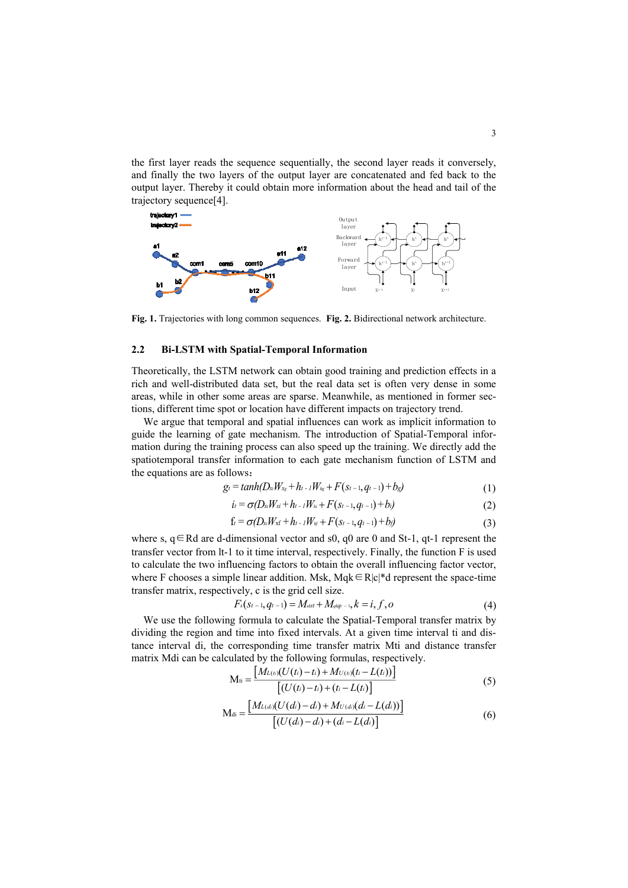the first layer reads the sequence sequentially, the second layer reads it conversely, and finally the two layers of the output layer are concatenated and fed back to the output layer. Thereby it could obtain more information about the head and tail of the trajectory sequence[4].



**Fig. 1.** Trajectories with long common sequences. **Fig. 2.** Bidirectional network architecture.

### **2.2 Bi-LSTM with Spatial-Temporal Information**

Theoretically, the LSTM network can obtain good training and prediction effects in a rich and well-distributed data set, but the real data set is often very dense in some areas, while in other some areas are sparse. Meanwhile, as mentioned in former sections, different time spot or location have different impacts on trajectory trend.

We argue that temporal and spatial influences can work as implicit information to guide the learning of gate mechanism. The introduction of Spatial-Temporal information during the training process can also speed up the training. We directly add the spatiotemporal transfer information to each gate mechanism function of LSTM and the equations are as follows:

$$
g_t = tanh(D_x W_{x_g} + h_{t-1} W_{x_g} + F(s_{t-1}, q_{t-1}) + b_g)
$$
\n(1)

$$
i_{t} = \sigma(D_{x}W_{x} + h_{t-1}W_{h} + F(s_{t-1}, q_{t-1}) + b_{i})
$$
\n(2)

$$
f_t = \sigma(D_{x_t} W_{x_t} + h_{t-1} W_{y_t} + F(s_{t-1}, q_{t-1}) + b_t)
$$
\n(3)

where s,  $q \in Rd$  are d-dimensional vector and s0, q0 are 0 and St-1, qt-1 represent the transfer vector from lt-1 to it time interval, respectively. Finally, the function F is used to calculate the two influencing factors to obtain the overall influencing factor vector, where F chooses a simple linear addition. Msk, Mqk∈R|c|\*d represent the space-time transfer matrix, respectively, c is the grid cell size.

$$
F_k(s_{t-1}, q_{t-1}) = M_{\text{stst}} + M_{q\text{left} - 1}, k = i, f, o \tag{4}
$$

We use the following formula to calculate the Spatial-Temporal transfer matrix by dividing the region and time into fixed intervals. At a given time interval ti and distance interval di, the corresponding time transfer matrix Mti and distance transfer matrix Mdi can be calculated by the following formulas, respectively.

$$
M_{ti} = \frac{[M_{L(t)}(U(t_i) - t_i) + M_{U(t)}(t_i - L(t_i))]}{[(U(t_i) - t_i) + (t_i - L(t_i))]}
$$
(5)

$$
M_{di} = \frac{[M_{L(d)}(U(d_i) - d_i) + M_{U(d)}(d_i - L(d_i))]}{[(U(d_i) - d_i) + (d_i - L(d_i))]}
$$
(6)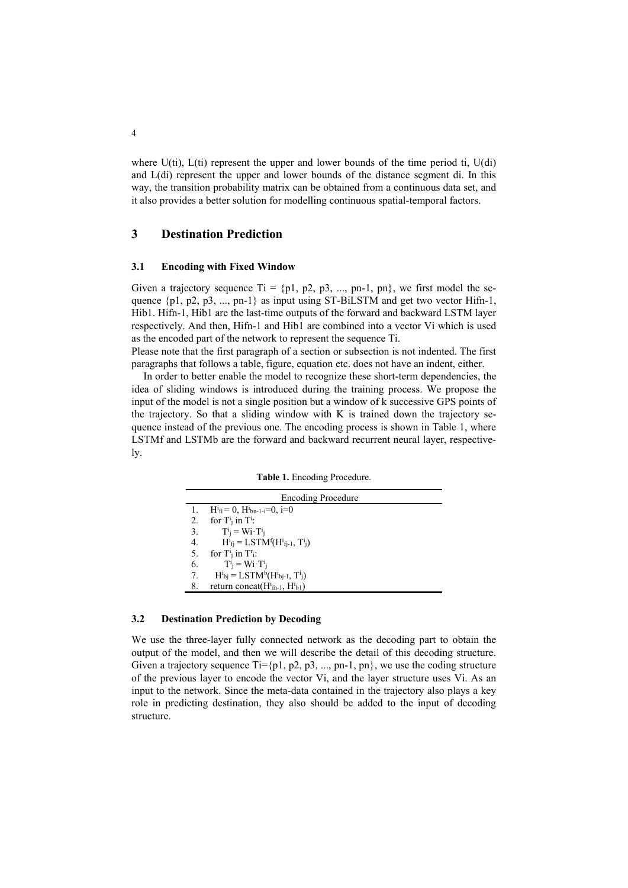where  $U(ti)$ ,  $L(ti)$  represent the upper and lower bounds of the time period ti,  $U(dt)$ and L(di) represent the upper and lower bounds of the distance segment di. In this way, the transition probability matrix can be obtained from a continuous data set, and it also provides a better solution for modelling continuous spatial-temporal factors.

### **3 Destination Prediction**

#### **3.1 Encoding with Fixed Window**

Given a trajectory sequence  $Ti = \{p1, p2, p3, ..., pn-1, pn\}$ , we first model the sequence  $\{p1, p2, p3, ..., pn-1\}$  as input using ST-BiLSTM and get two vector Hifn-1, Hib1. Hifn-1, Hib1 are the last-time outputs of the forward and backward LSTM layer respectively. And then, Hifn-1 and Hib1 are combined into a vector Vi which is used as the encoded part of the network to represent the sequence Ti.

Please note that the first paragraph of a section or subsection is not indented. The first paragraphs that follows a table, figure, equation etc. does not have an indent, either.

In order to better enable the model to recognize these short-term dependencies, the idea of sliding windows is introduced during the training process. We propose the input of the model is not a single position but a window of k successive GPS points of the trajectory. So that a sliding window with K is trained down the trajectory sequence instead of the previous one. The encoding process is shown in Table 1, where LSTMf and LSTMb are the forward and backward recurrent neural layer, respectively.

|  | Table 1. Encoding Procedure. |
|--|------------------------------|
|  |                              |

| <b>Encoding Procedure</b> |                                                            |  |  |  |
|---------------------------|------------------------------------------------------------|--|--|--|
|                           | $H^{i}{}_{fi} = 0$ , $H^{i}{}_{bn-1-i} = 0$ , i=0          |  |  |  |
| 2.                        | for $T^i$ in $T^i$ :                                       |  |  |  |
| 3.                        | $T^i_i = Wi \cdot T^i_i$                                   |  |  |  |
| 4.                        | $H^{i}{}_{fi} = LSTM^{f}(H^{i}{}_{fi-1}, T^{i}{}_{i})$     |  |  |  |
| 5.                        | for $T^i$ in $T^r$ .                                       |  |  |  |
| 6.                        | $T^i_i = Wi \cdot T^i_i$                                   |  |  |  |
| 7.                        | $H^{i}{}_{bi} = LSTM^{b}(H^{i}{}_{bi-1}, T^{i}{}_{i})$     |  |  |  |
| 8.                        | return concat( $Hi$ <sub>fn-1</sub> , $Hi$ <sub>b1</sub> ) |  |  |  |

#### **3.2 Destination Prediction by Decoding**

We use the three-layer fully connected network as the decoding part to obtain the output of the model, and then we will describe the detail of this decoding structure. Given a trajectory sequence Ti={p1, p2, p3, ..., pn-1, pn}, we use the coding structure of the previous layer to encode the vector Vi, and the layer structure uses Vi. As an input to the network. Since the meta-data contained in the trajectory also plays a key role in predicting destination, they also should be added to the input of decoding structure.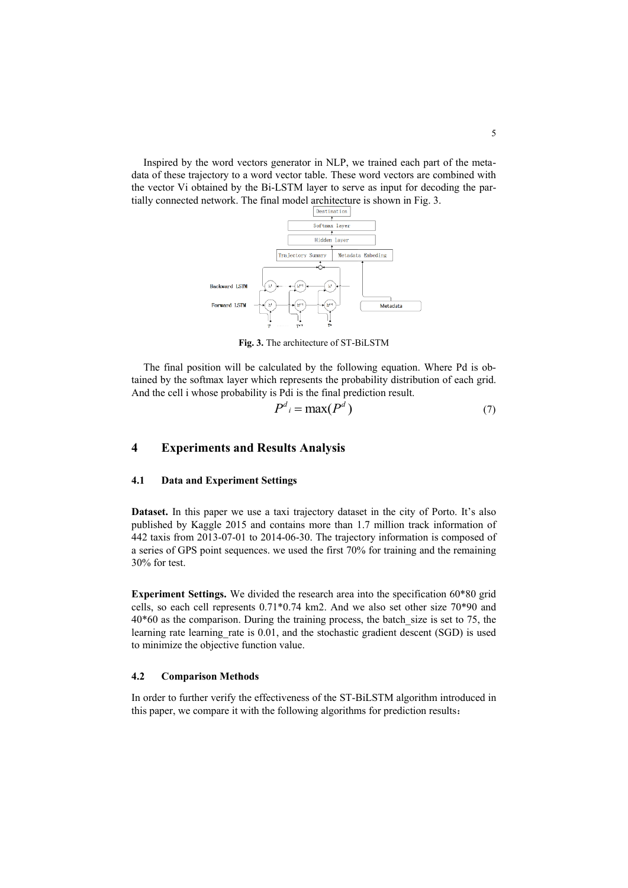Inspired by the word vectors generator in NLP, we trained each part of the metadata of these trajectory to a word vector table. These word vectors are combined with the vector Vi obtained by the Bi-LSTM layer to serve as input for decoding the partially connected network. The final model architecture is shown in Fig. 3.



**Fig. 3.** The architecture of ST-BiLSTM

The final position will be calculated by the following equation. Where Pd is obtained by the softmax layer which represents the probability distribution of each grid. And the cell i whose probability is Pdi is the final prediction result.

$$
P^d{}_i = \max(P^d) \tag{7}
$$

# **4 Experiments and Results Analysis**

# **4.1 Data and Experiment Settings**

**Dataset.** In this paper we use a taxi trajectory dataset in the city of Porto. It's also published by Kaggle 2015 and contains more than 1.7 million track information of 442 taxis from 2013-07-01 to 2014-06-30. The trajectory information is composed of a series of GPS point sequences. we used the first 70% for training and the remaining 30% for test.

**Experiment Settings.** We divided the research area into the specification 60\*80 grid cells, so each cell represents 0.71\*0.74 km2. And we also set other size 70\*90 and  $40*60$  as the comparison. During the training process, the batch size is set to 75, the learning rate learning rate is 0.01, and the stochastic gradient descent (SGD) is used to minimize the objective function value.

### **4.2 Comparison Methods**

In order to further verify the effectiveness of the ST-BiLSTM algorithm introduced in this paper, we compare it with the following algorithms for prediction results: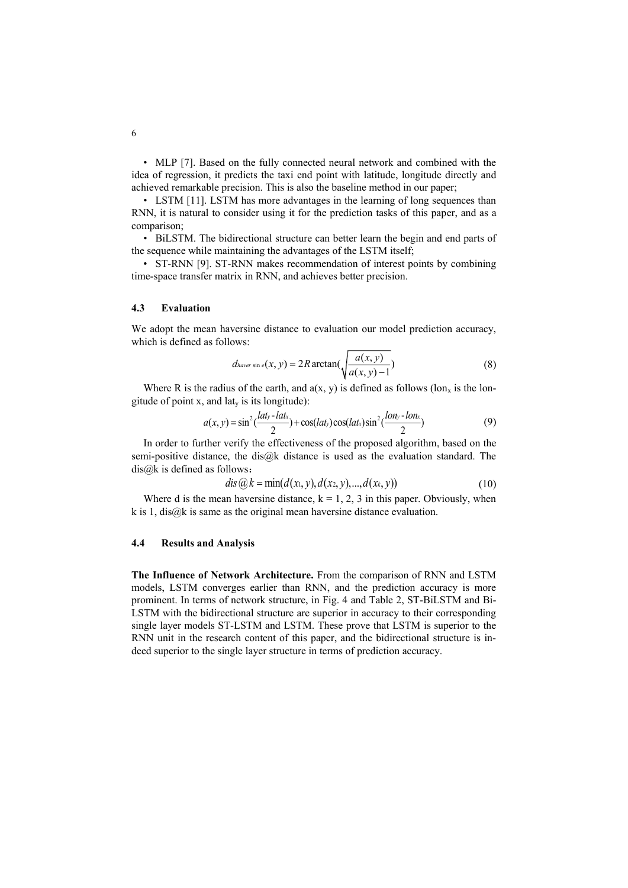• MLP [7]. Based on the fully connected neural network and combined with the idea of regression, it predicts the taxi end point with latitude, longitude directly and achieved remarkable precision. This is also the baseline method in our paper;

• LSTM [11]. LSTM has more advantages in the learning of long sequences than RNN, it is natural to consider using it for the prediction tasks of this paper, and as a comparison;

• BiLSTM. The bidirectional structure can better learn the begin and end parts of the sequence while maintaining the advantages of the LSTM itself;

• ST-RNN [9]. ST-RNN makes recommendation of interest points by combining time-space transfer matrix in RNN, and achieves better precision.

### **4.3 Evaluation**

We adopt the mean haversine distance to evaluation our model prediction accuracy, which is defined as follows:

$$
d_{haver \sin e}(x, y) = 2R \arctan\left(\sqrt{\frac{a(x, y)}{a(x, y) - 1}}\right)
$$
 (8)

Where R is the radius of the earth, and  $a(x, y)$  is defined as follows (lon<sub>x</sub> is the longitude of point  $x$ , and lat<sub>y</sub> is its longitude):

$$
a(x, y) = \sin^2(\frac{lat_y - lat_x}{2}) + \cos(lat_y)\cos(lat_x)\sin^2(\frac{lon_y - lon_x}{2})
$$
\n(9)

In order to further verify the effectiveness of the proposed algorithm, based on the semi-positive distance, the dis@k distance is used as the evaluation standard. The dis@k is defined as follows:

$$
dis@k = min(d(x1, y), d(x2, y), ..., d(xk, y))
$$
\n(10)

Where d is the mean haversine distance,  $k = 1, 2, 3$  in this paper. Obviously, when k is 1, dis $@k$  is same as the original mean haversine distance evaluation.

#### **4.4 Results and Analysis**

**The Influence of Network Architecture.** From the comparison of RNN and LSTM models, LSTM converges earlier than RNN, and the prediction accuracy is more prominent. In terms of network structure, in Fig. 4 and Table 2, ST-BiLSTM and Bi-LSTM with the bidirectional structure are superior in accuracy to their corresponding single layer models ST-LSTM and LSTM. These prove that LSTM is superior to the RNN unit in the research content of this paper, and the bidirectional structure is indeed superior to the single layer structure in terms of prediction accuracy.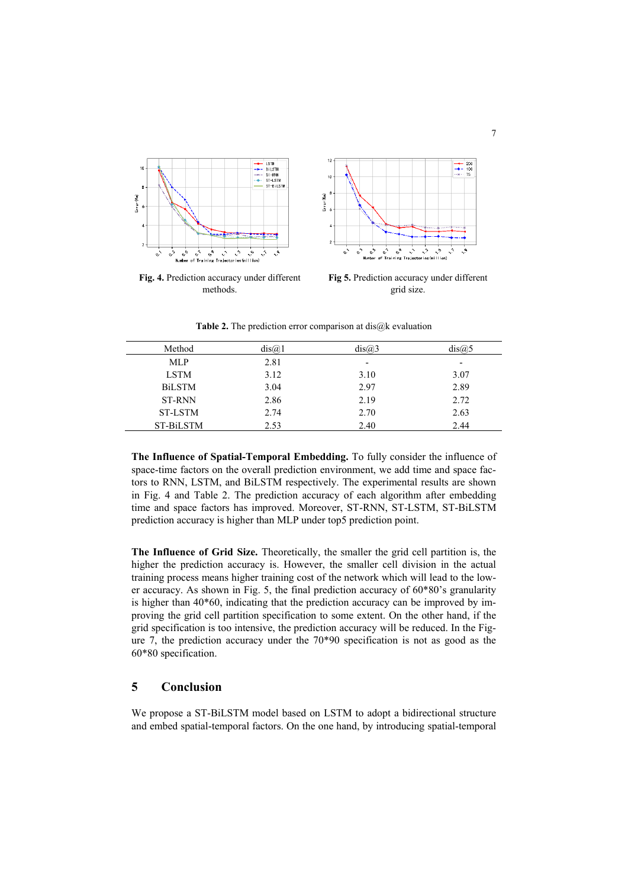

**Fig. 4.** Prediction accuracy under different methods.



**Fig 5.** Prediction accuracy under different grid size.

**Table 2.** The prediction error comparison at dis@k evaluation

| Method         | dis@.1 | dis@3                    | dis@.5                   |
|----------------|--------|--------------------------|--------------------------|
| <b>MLP</b>     | 2.81   | $\overline{\phantom{a}}$ | $\overline{\phantom{a}}$ |
| <b>LSTM</b>    | 3.12   | 3.10                     | 3.07                     |
| <b>BiLSTM</b>  | 3.04   | 2.97                     | 2.89                     |
| <b>ST-RNN</b>  | 2.86   | 2.19                     | 2.72                     |
| <b>ST-LSTM</b> | 2.74   | 2.70                     | 2.63                     |
| ST-BiLSTM      | 2.53   | 2.40                     | 2.44                     |

**The Influence of Spatial-Temporal Embedding.** To fully consider the influence of space-time factors on the overall prediction environment, we add time and space factors to RNN, LSTM, and BiLSTM respectively. The experimental results are shown in Fig. 4 and Table 2. The prediction accuracy of each algorithm after embedding time and space factors has improved. Moreover, ST-RNN, ST-LSTM, ST-BiLSTM prediction accuracy is higher than MLP under top5 prediction point.

**The Influence of Grid Size.** Theoretically, the smaller the grid cell partition is, the higher the prediction accuracy is. However, the smaller cell division in the actual training process means higher training cost of the network which will lead to the lower accuracy. As shown in Fig. 5, the final prediction accuracy of 60\*80's granularity is higher than 40\*60, indicating that the prediction accuracy can be improved by improving the grid cell partition specification to some extent. On the other hand, if the grid specification is too intensive, the prediction accuracy will be reduced. In the Figure 7, the prediction accuracy under the 70\*90 specification is not as good as the 60\*80 specification.

# **5 Conclusion**

We propose a ST-BiLSTM model based on LSTM to adopt a bidirectional structure and embed spatial-temporal factors. On the one hand, by introducing spatial-temporal